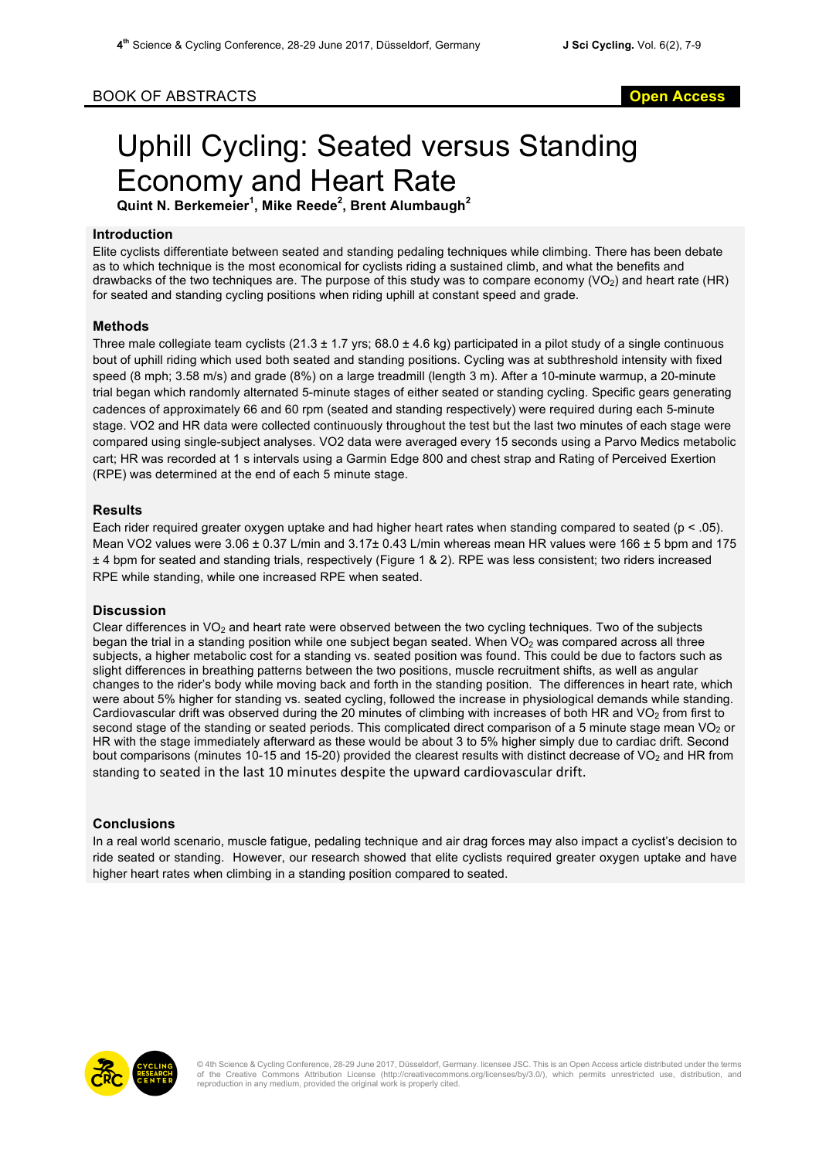# BOOK OF ABSTRACTS **Open Access**

# Uphill Cycling: Seated versus Standing Economy and Heart Rate

**Quint N. Berkemeier<sup>1</sup> , Mike Reede<sup>2</sup> , Brent Alumbaugh<sup>2</sup>**

## **Introduction**

Elite cyclists differentiate between seated and standing pedaling techniques while climbing. There has been debate as to which technique is the most economical for cyclists riding a sustained climb, and what the benefits and drawbacks of the two techniques are. The purpose of this study was to compare economy (VO<sub>2</sub>) and heart rate (HR) for seated and standing cycling positions when riding uphill at constant speed and grade.

## **Methods**

Three male collegiate team cyclists (21.3  $\pm$  1.7 yrs; 68.0  $\pm$  4.6 kg) participated in a pilot study of a single continuous bout of uphill riding which used both seated and standing positions. Cycling was at subthreshold intensity with fixed speed (8 mph; 3.58 m/s) and grade (8%) on a large treadmill (length 3 m). After a 10-minute warmup, a 20-minute trial began which randomly alternated 5-minute stages of either seated or standing cycling. Specific gears generating cadences of approximately 66 and 60 rpm (seated and standing respectively) were required during each 5-minute stage. VO2 and HR data were collected continuously throughout the test but the last two minutes of each stage were compared using single-subject analyses. VO2 data were averaged every 15 seconds using a Parvo Medics metabolic cart; HR was recorded at 1 s intervals using a Garmin Edge 800 and chest strap and Rating of Perceived Exertion (RPE) was determined at the end of each 5 minute stage.

#### **Results**

Each rider required greater oxygen uptake and had higher heart rates when standing compared to seated ( $p < .05$ ). Mean VO2 values were  $3.06 \pm 0.37$  L/min and  $3.17 \pm 0.43$  L/min whereas mean HR values were 166  $\pm$  5 bpm and 175 ± 4 bpm for seated and standing trials, respectively (Figure 1 & 2). RPE was less consistent; two riders increased RPE while standing, while one increased RPE when seated.

#### **Discussion**

Clear differences in  $VO<sub>2</sub>$  and heart rate were observed between the two cycling techniques. Two of the subjects began the trial in a standing position while one subject began seated. When  $VO<sub>2</sub>$  was compared across all three subjects, a higher metabolic cost for a standing vs. seated position was found. This could be due to factors such as slight differences in breathing patterns between the two positions, muscle recruitment shifts, as well as angular changes to the rider's body while moving back and forth in the standing position. The differences in heart rate, which were about 5% higher for standing vs. seated cycling, followed the increase in physiological demands while standing. Cardiovascular drift was observed during the 20 minutes of climbing with increases of both HR and VO<sub>2</sub> from first to second stage of the standing or seated periods. This complicated direct comparison of a 5 minute stage mean  $VO<sub>2</sub>$  or HR with the stage immediately afterward as these would be about 3 to 5% higher simply due to cardiac drift. Second bout comparisons (minutes 10-15 and 15-20) provided the clearest results with distinct decrease of VO<sub>2</sub> and HR from standing to seated in the last 10 minutes despite the upward cardiovascular drift.

## **Conclusions**

In a real world scenario, muscle fatigue, pedaling technique and air drag forces may also impact a cyclist's decision to ride seated or standing. However, our research showed that elite cyclists required greater oxygen uptake and have higher heart rates when climbing in a standing position compared to seated.



© 4th Science & Cycling Conference, 28-29 June 2017, Düsseldorf, Germany. licensee JSC. This is an Open Access article distributed under the terms of the Creative Commons Attribution License (http://creativecommons.org/licenses/by/3.0/), which permits unrestricted use, distribution, and reproduction in any medium, provided the original work is properly cited.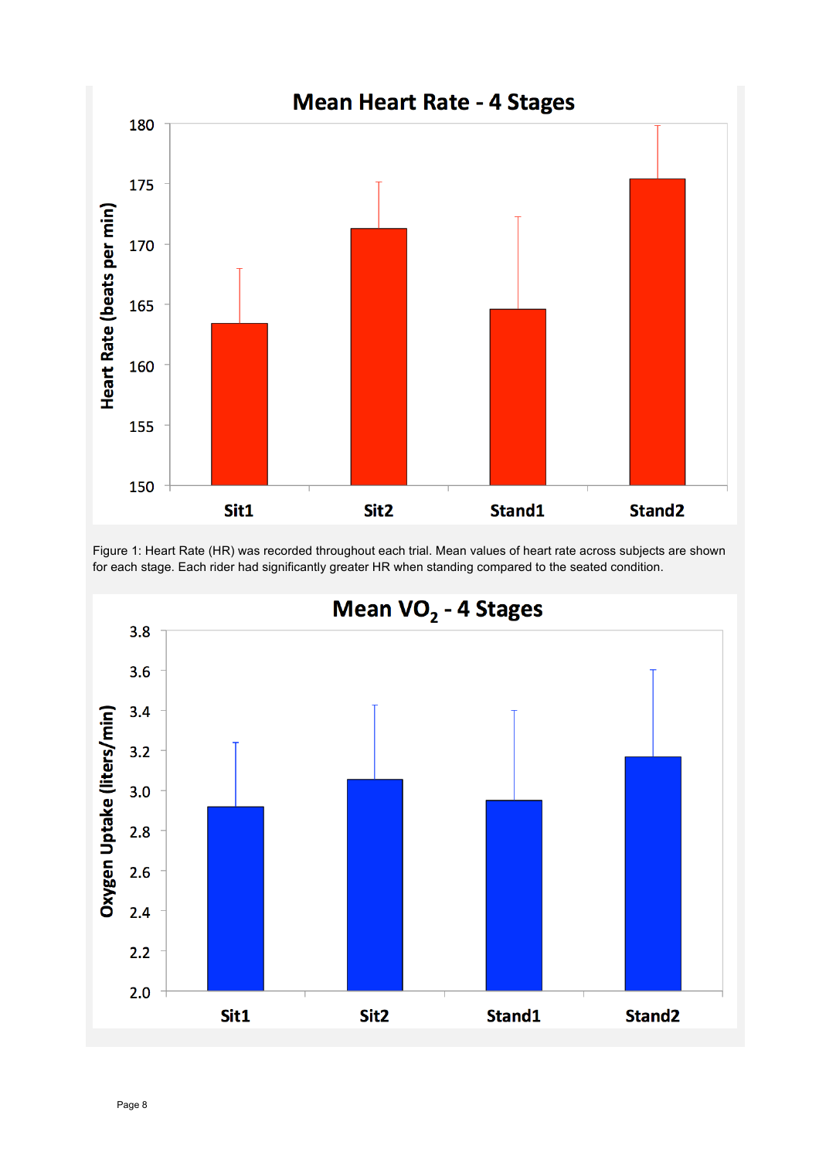

Figure 1: Heart Rate (HR) was recorded throughout each trial. Mean values of heart rate across subjects are shown for each stage. Each rider had significantly greater HR when standing compared to the seated condition.